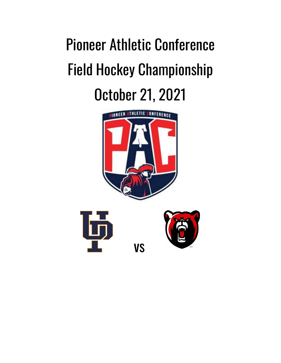## Pioneer Athletic Conference Field Hockey Championship October 21, 2021

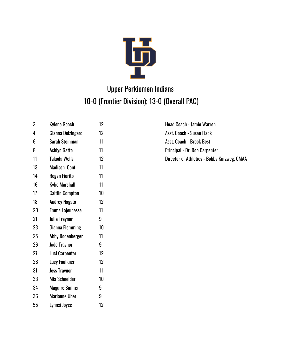

## Upper Perkiomen Indians 10-0 (Frontier Division); 13-0 (Overall PAC)

3 Kylene Gooch 12 12 Head Coach - Jamie Warren 4 Gianna Delzingaro 12 ann ann an t-Susan Flack 6 Sarah Steinman 11 Asst. Coach - Brook Best 8 Ashlyn Gatto 11 1 **Principal - Dr. Rob Carpenter** 13 Madison Conti 11 14 Regan Fiorito 11 16 Kylie Marshall 11 17 Caitlin Compton 10 18 Audrey Nagata 12 20 Emma Lajeunesse 11 21 Julia Traynor 9 23 Gianna Flemming 10 25 Abby Rodenberger 11 26 Jade Traynor 9 27 Luci Carpenter 12 28 Lucy Faulkner 12 31 Jess Traynor 11 33 Mia Schneider 10 34 Maguire Simms 9 36 Marianne Uber 9 55 Lynnsi Joyce 12

11 Takoda Wells 12 Director of Athletics - Bobby Kurzweg, CMAA